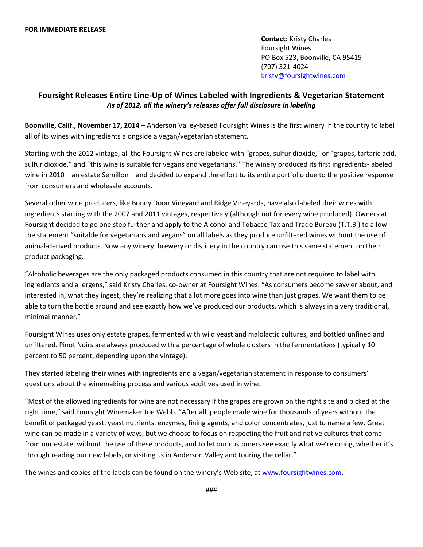**Contact:** Kristy Charles Foursight Wines PO Box 523, Boonville, CA 95415 (707) 321-4024 [kristy@foursightwines.com](mailto:kristy@foursightwines.com)

## **Foursight Releases Entire Line-Up of Wines Labeled with Ingredients & Vegetarian Statement** *As of 2012, all the winery's releases offer full disclosure in labeling*

**Boonville, Calif., November 17, 2014** – Anderson Valley-based Foursight Wines is the first winery in the country to label all of its wines with ingredients alongside a vegan/vegetarian statement.

Starting with the 2012 vintage, all the Foursight Wines are labeled with "grapes, sulfur dioxide," or "grapes, tartaric acid, sulfur dioxide," and "this wine is suitable for vegans and vegetarians." The winery produced its first ingredients-labeled wine in 2010 – an estate Semillon – and decided to expand the effort to its entire portfolio due to the positive response from consumers and wholesale accounts.

Several other wine producers, like Bonny Doon Vineyard and Ridge Vineyards, have also labeled their wines with ingredients starting with the 2007 and 2011 vintages, respectively (although not for every wine produced). Owners at Foursight decided to go one step further and apply to the Alcohol and Tobacco Tax and Trade Bureau (T.T.B.) to allow the statement "suitable for vegetarians and vegans" on all labels as they produce unfiltered wines without the use of animal-derived products. Now any winery, brewery or distillery in the country can use this same statement on their product packaging.

"Alcoholic beverages are the only packaged products consumed in this country that are not required to label with ingredients and allergens," said Kristy Charles, co-owner at Foursight Wines. "As consumers become savvier about, and interested in, what they ingest, they're realizing that a lot more goes into wine than just grapes. We want them to be able to turn the bottle around and see exactly how we've produced our products, which is always in a very traditional, minimal manner."

Foursight Wines uses only estate grapes, fermented with wild yeast and malolactic cultures, and bottled unfined and unfiltered. Pinot Noirs are always produced with a percentage of whole clusters in the fermentations (typically 10 percent to 50 percent, depending upon the vintage).

They started labeling their wines with ingredients and a vegan/vegetarian statement in response to consumers' questions about the winemaking process and various additives used in wine.

"Most of the allowed ingredients for wine are not necessary if the grapes are grown on the right site and picked at the right time," said Foursight Winemaker Joe Webb. "After all, people made wine for thousands of years without the benefit of packaged yeast, yeast nutrients, enzymes, fining agents, and color concentrates, just to name a few. Great wine can be made in a variety of ways, but we choose to focus on respecting the fruit and native cultures that come from our estate, without the use of these products, and to let our customers see exactly what we're doing, whether it's through reading our new labels, or visiting us in Anderson Valley and touring the cellar."

The wines and copies of the labels can be found on the winery's Web site, at [www.foursightwines.com.](http://www.foursightwines.com/)